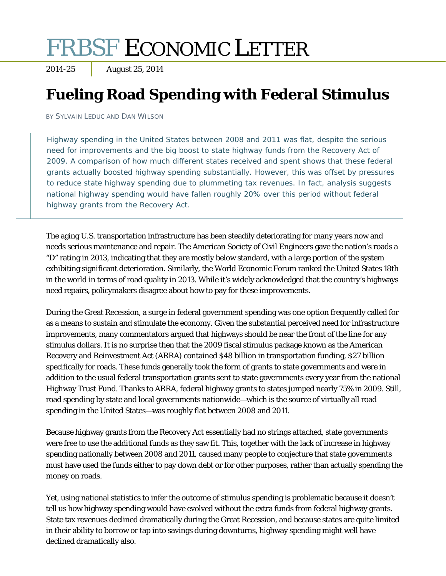# FRBSF ECONOMIC LETTER

2014-25 August 25, 2014

# **Fueling Road Spending with Federal Stimulus**

BY SYLVAIN LEDUC AND DAN WILSON

Highway spending in the United States between 2008 and 2011 was flat, despite the serious need for improvements and the big boost to state highway funds from the Recovery Act of 2009. A comparison of how much different states received and spent shows that these federal grants actually boosted highway spending substantially. However, this was offset by pressures to reduce state highway spending due to plummeting tax revenues. In fact, analysis suggests national highway spending would have fallen roughly 20% over this period without federal highway grants from the Recovery Act.

The aging U.S. transportation infrastructure has been steadily deteriorating for many years now and needs serious maintenance and repair. The American Society of Civil Engineers gave the nation's roads a "D" rating in 2013, indicating that they are mostly below standard, with a large portion of the system exhibiting significant deterioration. Similarly, the World Economic Forum ranked the United States 18th in the world in terms of road quality in 2013. While it's widely acknowledged that the country's highways need repairs, policymakers disagree about how to pay for these improvements.

During the Great Recession, a surge in federal government spending was one option frequently called for as a means to sustain and stimulate the economy. Given the substantial perceived need for infrastructure improvements, many commentators argued that highways should be near the front of the line for any stimulus dollars. It is no surprise then that the 2009 fiscal stimulus package known as the American Recovery and Reinvestment Act (ARRA) contained \$48 billion in transportation funding, \$27 billion specifically for roads. These funds generally took the form of grants to state governments and were in addition to the usual federal transportation grants sent to state governments every year from the national Highway Trust Fund. Thanks to ARRA, federal highway grants to states jumped nearly 75% in 2009. Still, road spending by state and local governments nationwide—which is the source of virtually all road spending in the United States—was roughly flat between 2008 and 2011.

Because highway grants from the Recovery Act essentially had no strings attached, state governments were free to use the additional funds as they saw fit. This, together with the lack of increase in highway spending nationally between 2008 and 2011, caused many people to conjecture that state governments must have used the funds either to pay down debt or for other purposes, rather than actually spending the money on roads.

Yet, using national statistics to infer the outcome of stimulus spending is problematic because it doesn't tell us how highway spending would have evolved without the extra funds from federal highway grants. State tax revenues declined dramatically during the Great Recession, and because states are quite limited in their ability to borrow or tap into savings during downturns, highway spending might well have declined dramatically also.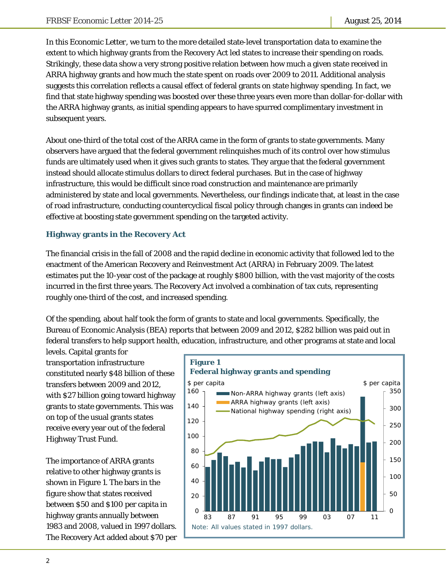In this *Economic Letter*, we turn to the more detailed state-level transportation data to examine the extent to which highway grants from the Recovery Act led states to increase their spending on roads. Strikingly, these data show a very strong positive relation between how much a given state received in ARRA highway grants and how much the state spent on roads over 2009 to 2011. Additional analysis suggests this correlation reflects a causal effect of federal grants on state highway spending. In fact, we find that state highway spending was boosted over these three years even more than dollar-for-dollar with the ARRA highway grants, as initial spending appears to have spurred complimentary investment in subsequent years.

About one-third of the total cost of the ARRA came in the form of grants to state governments. Many observers have argued that the federal government relinquishes much of its control over how stimulus funds are ultimately used when it gives such grants to states. They argue that the federal government instead should allocate stimulus dollars to direct federal purchases. But in the case of highway infrastructure, this would be difficult since road construction and maintenance are primarily administered by state and local governments. Nevertheless, our findings indicate that, at least in the case of road infrastructure, conducting countercyclical fiscal policy through changes in grants can indeed be effective at boosting state government spending on the targeted activity.

## **Highway grants in the Recovery Act**

The financial crisis in the fall of 2008 and the rapid decline in economic activity that followed led to the enactment of the American Recovery and Reinvestment Act (ARRA) in February 2009. The latest estimates put the 10-year cost of the package at roughly \$800 billion, with the vast majority of the costs incurred in the first three years. The Recovery Act involved a combination of tax cuts, representing roughly one-third of the cost, and increased spending.

Of the spending, about half took the form of grants to state and local governments. Specifically, the Bureau of Economic Analysis (BEA) reports that between 2009 and 2012, \$282 billion was paid out in federal transfers to help support health, education, infrastructure, and other programs at state and local

levels. Capital grants for transportation infrastructure constituted nearly \$48 billion of these transfers between 2009 and 2012, with \$27 billion going toward highway grants to state governments. This was on top of the usual grants states receive every year out of the federal Highway Trust Fund.

The importance of ARRA grants relative to other highway grants is shown in Figure 1. The bars in the figure show that states received between \$50 and \$100 per capita in highway grants annually between 1983 and 2008, valued in 1997 dollars. The Recovery Act added about \$70 per

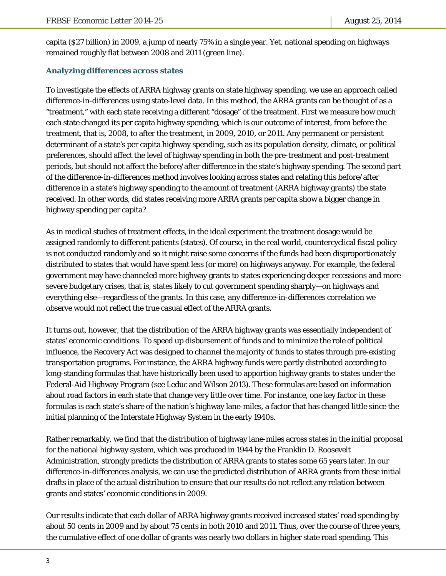capita (\$27 billion) in 2009, a jump of nearly 75% in a single year. Yet, national spending on highways remained roughly flat between 2008 and 2011 (green line).

#### **Analyzing differences across states**

To investigate the effects of ARRA highway grants on state highway spending, we use an approach called difference-in-differences using state-level data. In this method, the ARRA grants can be thought of as a "treatment," with each state receiving a different "dosage" of the treatment. First we measure how much each state changed its per capita highway spending, which is our outcome of interest, from before the treatment, that is, 2008, to after the treatment, in 2009, 2010, or 2011. Any permanent or persistent determinant of a state's per capita highway spending, such as its population density, climate, or political preferences, should affect the level of highway spending in both the pre-treatment and post-treatment periods, but should not affect the before/after difference in the state's highway spending. The second part of the difference-in-differences method involves looking across states and relating this before/after difference in a state's highway spending to the amount of treatment (ARRA highway grants) the state received. In other words, did states receiving more ARRA grants per capita show a bigger change in highway spending per capita?

As in medical studies of treatment effects, in the ideal experiment the treatment dosage would be assigned randomly to different patients (states). Of course, in the real world, countercyclical fiscal policy is not conducted randomly and so it might raise some concerns if the funds had been disproportionately distributed to states that would have spent less (or more) on highways anyway. For example, the federal government may have channeled more highway grants to states experiencing deeper recessions and more severe budgetary crises, that is, states likely to cut government spending sharply—on highways and everything else—regardless of the grants. In this case, any difference-in-differences correlation we observe would not reflect the true casual effect of the ARRA grants.

It turns out, however, that the distribution of the ARRA highway grants was essentially independent of states' economic conditions. To speed up disbursement of funds and to minimize the role of political influence, the Recovery Act was designed to channel the majority of funds to states through pre-existing transportation programs. For instance, the ARRA highway funds were partly distributed according to long-standing formulas that have historically been used to apportion highway grants to states under the Federal-Aid Highway Program (see Leduc and Wilson 2013). These formulas are based on information about road factors in each state that change very little over time. For instance, one key factor in these formulas is each state's share of the nation's highway lane-miles, a factor that has changed little since the initial planning of the Interstate Highway System in the early 1940s.

Rather remarkably, we find that the distribution of highway lane-miles across states in the initial proposal for the national highway system, which was produced in 1944 by the Franklin D. Roosevelt Administration, strongly predicts the distribution of ARRA grants to states some 65 years later. In our difference-in-differences analysis, we can use the predicted distribution of ARRA grants from these initial drafts in place of the actual distribution to ensure that our results do not reflect any relation between grants and states' economic conditions in 2009.

Our results indicate that each dollar of ARRA highway grants received increased states' road spending by about 50 cents in 2009 and by about 75 cents in both 2010 and 2011. Thus, over the course of three years, the cumulative effect of one dollar of grants was nearly two dollars in higher state road spending. This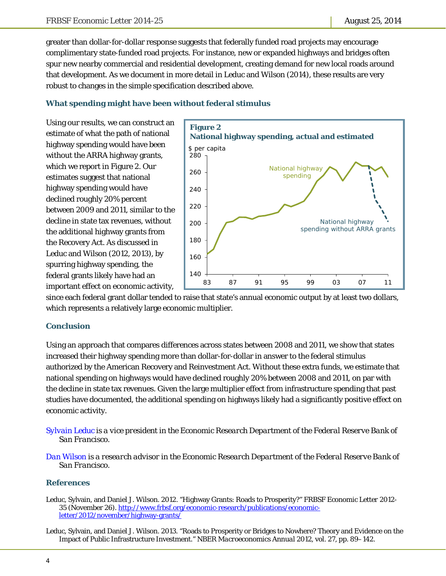greater than dollar-for-dollar response suggests that federally funded road projects may encourage complimentary state-funded road projects. For instance, new or expanded highways and bridges often spur new nearby commercial and residential development, creating demand for new local roads around that development. As we document in more detail in Leduc and Wilson (2014), these results are very robust to changes in the simple specification described above.

#### **What spending might have been without federal stimulus**

Using our results, we can construct an estimate of what the path of national highway spending would have been without the ARRA highway grants, which we report in Figure 2. Our estimates suggest that national highway spending would have declined roughly 20% percent between 2009 and 2011, similar to the decline in state tax revenues, without the additional highway grants from the Recovery Act. As discussed in Leduc and Wilson (2012, 2013), by spurring highway spending, the federal grants likely have had an important effect on economic activity,



since each federal grant dollar tended to raise that state's annual economic output by at least two dollars, which represents a relatively large economic multiplier.

#### **Conclusion**

Using an approach that compares differences across states between 2008 and 2011, we show that states increased their highway spending more than dollar-for-dollar in answer to the federal stimulus authorized by the American Recovery and Reinvestment Act. Without these extra funds, we estimate that national spending on highways would have declined roughly 20% between 2008 and 2011, on par with the decline in state tax revenues. Given the large multiplier effect from infrastructure spending that past studies have documented, the additional spending on highways likely had a significantly positive effect on economic activity.

- *[Sylvain Leduc i](http://www.frbsf.org/economic-research/economists/sylvain-leduc/)s a vice president in the Economic Research Department of the Federal Reserve Bank of San Francisco.*
- *[Dan Wilson i](http://www.frbsf.org/economic-research/economists/daniel-wilson/)s a research advisor in the Economic Research Department of the Federal Reserve Bank of San Francisco.*

#### **References**

Leduc, Sylvain, and Daniel J. Wilson. 2012. "Highway Grants: Roads to Prosperity?" *FRBSF Economic Letter* 2012- 35 (November 26). http://www.frbsf.org/economic-research/publications/economicletter/2012/november/highway-grants/

Leduc, Sylvain, and Daniel J. Wilson. 2013. "Roads to Prosperity or Bridges to Nowhere? Theory and Evidence on the Impact of Public Infrastructure Investment." *NBER Macroeconomics Annual 2012*, vol. 27, pp. 89–142.